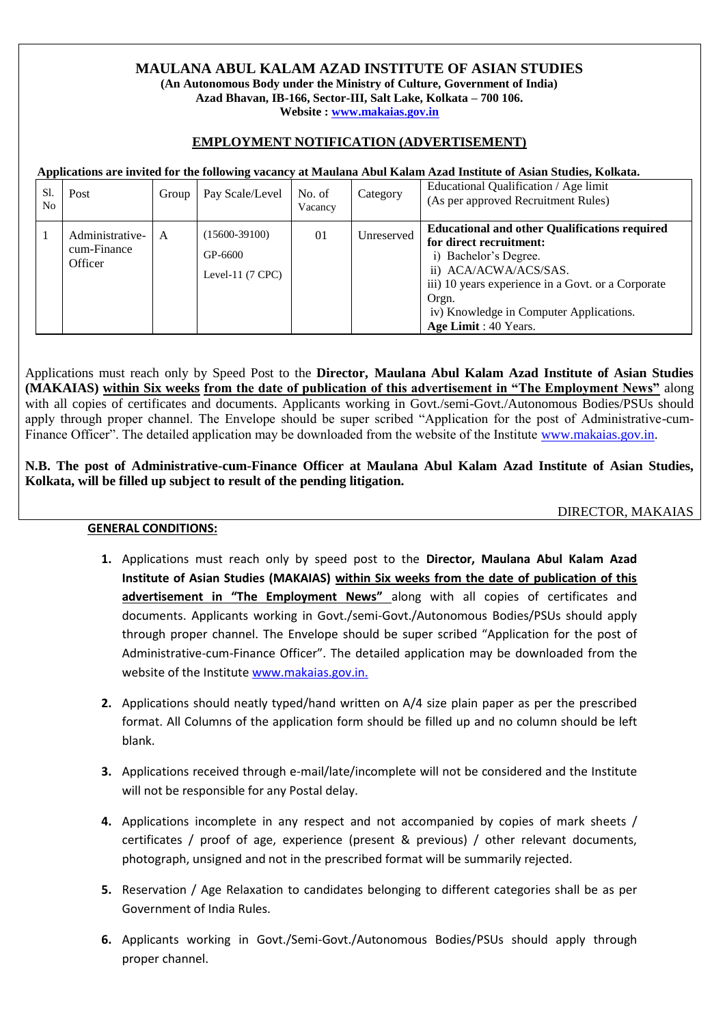## **MAULANA ABUL KALAM AZAD INSTITUTE OF ASIAN STUDIES**

**(An Autonomous Body under the Ministry of Culture, Government of India) Azad Bhavan, IB-166, Sector-III, Salt Lake, Kolkata – 700 106. Website : [www.makaias.gov.in](http://www.makaias.gov.in/)**

## **EMPLOYMENT NOTIFICATION (ADVERTISEMENT)**

 **Applications are invited for the following vacancy at Maulana Abul Kalam Azad Institute of Asian Studies, Kolkata.** 

| Sl.<br>No | Post                                      | Group | Pay Scale/Level                                     | No. of<br>Vacancy | Category   | Educational Qualification / Age limit<br>(As per approved Recruitment Rules)                                                                                                                                                                                         |
|-----------|-------------------------------------------|-------|-----------------------------------------------------|-------------------|------------|----------------------------------------------------------------------------------------------------------------------------------------------------------------------------------------------------------------------------------------------------------------------|
|           | Administrative-<br>cum-Finance<br>Officer | A     | $(15600-39100)$<br>GP-6600<br>Level-11 $(7$ CPC $)$ | 01                | Unreserved | <b>Educational and other Qualifications required</b><br>for direct recruitment:<br>i) Bachelor's Degree.<br>ii) ACA/ACWA/ACS/SAS.<br>iii) 10 years experience in a Govt. or a Corporate<br>Orgn.<br>iv) Knowledge in Computer Applications.<br>Age Limit : 40 Years. |

Applications must reach only by Speed Post to the **Director, Maulana Abul Kalam Azad Institute of Asian Studies (MAKAIAS) within Six weeks from the date of publication of this advertisement in "The Employment News"** along with all copies of certificates and documents. Applicants working in Govt./semi-Govt./Autonomous Bodies/PSUs should apply through proper channel. The Envelope should be super scribed "Application for the post of Administrative-cumFinance Officer". The detailed application may be downloaded from the website of the Institute [www.makaias.gov.in.](http://www.makaias.gov.in/)

**N.B. The post of Administrative-cum-Finance Officer at Maulana Abul Kalam Azad Institute of Asian Studies, Kolkata, will be filled up subject to result of the pending litigation.**

DIRECTOR, MAKAIAS

## **GENERAL CONDITIONS:**

- **1.** Applications must reach only by speed post to the **Director, Maulana Abul Kalam Azad Institute of Asian Studies (MAKAIAS) within Six weeks from the date of publication of this advertisement in "The Employment News"** along with all copies of certificates and documents. Applicants working in Govt./semi-Govt./Autonomous Bodies/PSUs should apply through proper channel. The Envelope should be super scribed "Application for the post of Administrative-cum-Finance Officer". The detailed application may be downloaded from the website of the Institute [www.makaias.gov.in.](http://www.makaias.gov.in/)
- **2.** Applications should neatly typed/hand written on A/4 size plain paper as per the prescribed format. All Columns of the application form should be filled up and no column should be left blank.
- **3.** Applications received through e-mail/late/incomplete will not be considered and the Institute will not be responsible for any Postal delay.
- **4.** Applications incomplete in any respect and not accompanied by copies of mark sheets / certificates / proof of age, experience (present & previous) / other relevant documents, photograph, unsigned and not in the prescribed format will be summarily rejected.
- **5.** Reservation / Age Relaxation to candidates belonging to different categories shall be as per Government of India Rules.
- **6.** Applicants working in Govt./Semi-Govt./Autonomous Bodies/PSUs should apply through proper channel.